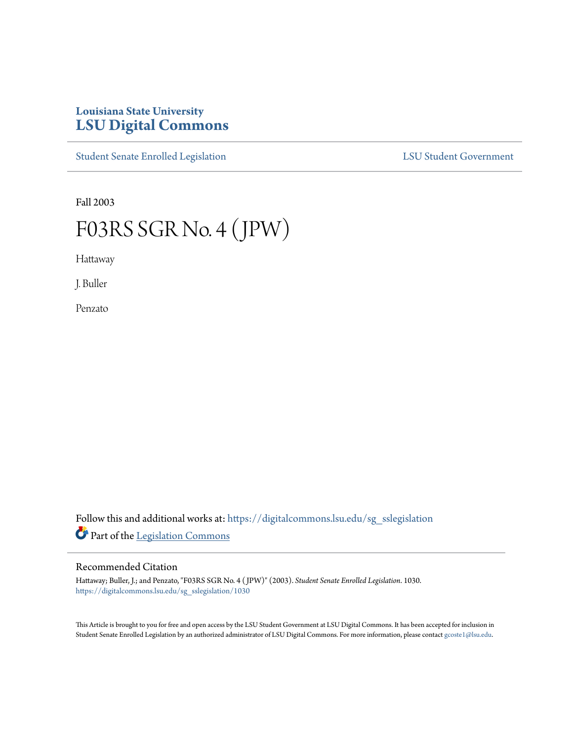## **Louisiana State University [LSU Digital Commons](https://digitalcommons.lsu.edu?utm_source=digitalcommons.lsu.edu%2Fsg_sslegislation%2F1030&utm_medium=PDF&utm_campaign=PDFCoverPages)**

[Student Senate Enrolled Legislation](https://digitalcommons.lsu.edu/sg_sslegislation?utm_source=digitalcommons.lsu.edu%2Fsg_sslegislation%2F1030&utm_medium=PDF&utm_campaign=PDFCoverPages) [LSU Student Government](https://digitalcommons.lsu.edu/sg?utm_source=digitalcommons.lsu.edu%2Fsg_sslegislation%2F1030&utm_medium=PDF&utm_campaign=PDFCoverPages)

Fall 2003

# F03RS SGR No. 4 (JPW)

Hattaway

J. Buller

Penzato

Follow this and additional works at: [https://digitalcommons.lsu.edu/sg\\_sslegislation](https://digitalcommons.lsu.edu/sg_sslegislation?utm_source=digitalcommons.lsu.edu%2Fsg_sslegislation%2F1030&utm_medium=PDF&utm_campaign=PDFCoverPages) Part of the [Legislation Commons](http://network.bepress.com/hgg/discipline/859?utm_source=digitalcommons.lsu.edu%2Fsg_sslegislation%2F1030&utm_medium=PDF&utm_campaign=PDFCoverPages)

#### Recommended Citation

Hattaway; Buller, J.; and Penzato, "F03RS SGR No. 4 ( JPW)" (2003). *Student Senate Enrolled Legislation*. 1030. [https://digitalcommons.lsu.edu/sg\\_sslegislation/1030](https://digitalcommons.lsu.edu/sg_sslegislation/1030?utm_source=digitalcommons.lsu.edu%2Fsg_sslegislation%2F1030&utm_medium=PDF&utm_campaign=PDFCoverPages)

This Article is brought to you for free and open access by the LSU Student Government at LSU Digital Commons. It has been accepted for inclusion in Student Senate Enrolled Legislation by an authorized administrator of LSU Digital Commons. For more information, please contact [gcoste1@lsu.edu.](mailto:gcoste1@lsu.edu)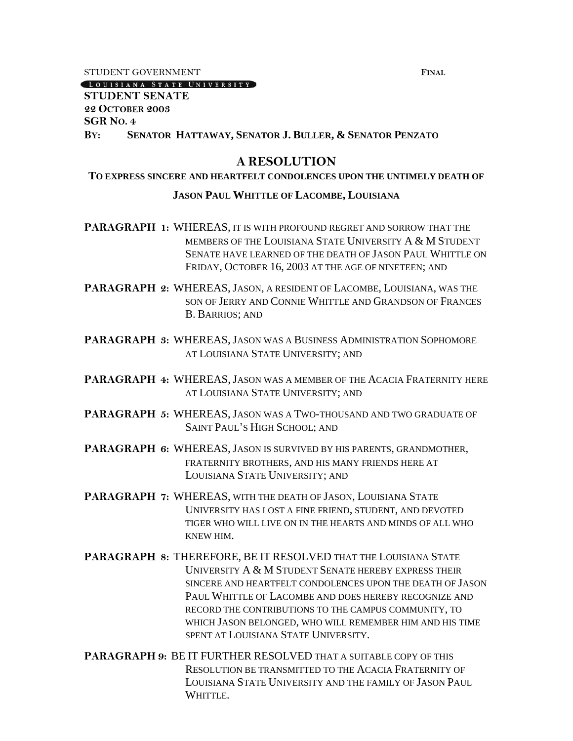STUDENT GOVERNMENT **FINAL**

[LOUISIANA STATE UNIVERSITY]

**STUDENT SENATE 22 OCTOBER 2003 SGR NO. 4 BY: SENATOR HATTAWAY, SENATOR J. BULLER, & SENATOR PENZATO**

## **A RESOLUTION**

# **TO EXPRESS SINCERE AND HEARTFELT CONDOLENCES UPON THE UNTIMELY DEATH OF**

### **JASON PAUL WHITTLE OF LACOMBE, LOUISIANA**

**PARAGRAPH 1:** WHEREAS, IT IS WITH PROFOUND REGRET AND SORROW THAT THE MEMBERS OF THE LOUISIANA STATE UNIVERSITY A & M STUDENT SENATE HAVE LEARNED OF THE DEATH OF JASON PAUL WHITTLE ON FRIDAY, OCTOBER 16, 2003 AT THE AGE OF NINETEEN; AND

**PARAGRAPH 2:** WHEREAS, JASON, A RESIDENT OF LACOMBE, LOUISIANA, WAS THE SON OF JERRY AND CONNIE WHITTLE AND GRANDSON OF FRANCES B. BARRIOS; AND

**PARAGRAPH 3:** WHEREAS, JASON WAS A BUSINESS ADMINISTRATION SOPHOMORE AT LOUISIANA STATE UNIVERSITY; AND

**PARAGRAPH 4:** WHEREAS, JASON WAS A MEMBER OF THE ACACIA FRATERNITY HERE AT LOUISIANA STATE UNIVERSITY; AND

**PARAGRAPH 5:** WHEREAS, JASON WAS A TWO-THOUSAND AND TWO GRADUATE OF SAINT PAUL'S HIGH SCHOOL; AND

**PARAGRAPH 6:** WHEREAS, JASON IS SURVIVED BY HIS PARENTS, GRANDMOTHER, FRATERNITY BROTHERS, AND HIS MANY FRIENDS HERE AT LOUISIANA STATE UNIVERSITY; AND

**PARAGRAPH 7:** WHEREAS, WITH THE DEATH OF JASON, LOUISIANA STATE UNIVERSITY HAS LOST A FINE FRIEND, STUDENT, AND DEVOTED TIGER WHO WILL LIVE ON IN THE HEARTS AND MINDS OF ALL WHO KNEW HIM.

- **PARAGRAPH 8:** THEREFORE, BE IT RESOLVED THAT THE LOUISIANA STATE UNIVERSITY A & M STUDENT SENATE HEREBY EXPRESS THEIR SINCERE AND HEARTFELT CONDOLENCES UPON THE DEATH OF JASON PAUL WHITTLE OF LACOMBE AND DOES HEREBY RECOGNIZE AND RECORD THE CONTRIBUTIONS TO THE CAMPUS COMMUNITY, TO WHICH JASON BELONGED, WHO WILL REMEMBER HIM AND HIS TIME SPENT AT LOUISIANA STATE UNIVERSITY.
- **PARAGRAPH 9:** BE IT FURTHER RESOLVED THAT A SUITABLE COPY OF THIS RESOLUTION BE TRANSMITTED TO THE ACACIA FRATERNITY OF LOUISIANA STATE UNIVERSITY AND THE FAMILY OF JASON PAUL WHITTLE.